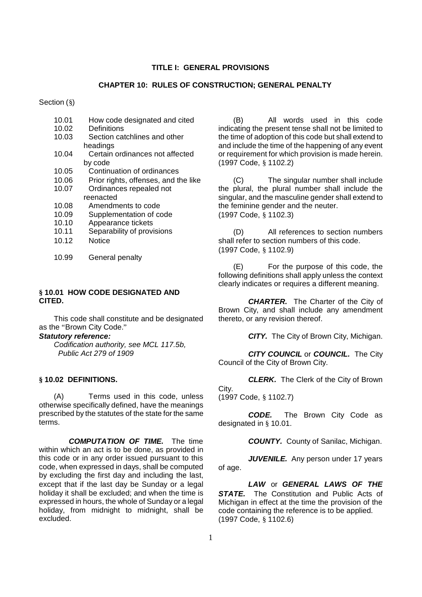## **TITLE I: GENERAL PROVISIONS**

### **CHAPTER 10: RULES OF CONSTRUCTION; GENERAL PENALTY**

Section (§)

- 10.01 How code designated and cited 10.02 Definitions 10.03 Section catchlines and other
- headings
- 10.04 Certain ordinances not affected by code
- 10.05 Continuation of ordinances
- 10.06 Prior rights, offenses, and the like
- 10.07 Ordinances repealed not reenacted
- 10.08 Amendments to code
- 10.09 Supplementation of code
- 10.10 Appearance tickets
- 10.11 Separability of provisions
- 10.12 Notice
- 10.99 General penalty

## **§ 10.01 HOW CODE DESIGNATED AND CITED.**

This code shall constitute and be designated as the "Brown City Code."

#### *Statutory reference:*

*Codification authority, see MCL 117.5b, Public Act 279 of 1909*

## **§ 10.02 DEFINITIONS.**

(A) Terms used in this code, unless otherwise specifically defined, have the meanings prescribed by the statutes of the state for the same terms.

*COMPUTATION OF TIME.* The time within which an act is to be done, as provided in this code or in any order issued pursuant to this code, when expressed in days, shall be computed by excluding the first day and including the last, except that if the last day be Sunday or a legal holiday it shall be excluded; and when the time is expressed in hours, the whole of Sunday or a legal holiday, from midnight to midnight, shall be excluded.

(B) All words used in this code indicating the present tense shall not be limited to the time of adoption of this code but shall extend to and include the time of the happening of any event or requirement for which provision is made herein. (1997 Code, § 1102.2)

(C) The singular number shall include the plural, the plural number shall include the singular, and the masculine gender shall extend to the feminine gender and the neuter. (1997 Code, § 1102.3)

(D) All references to section numbers shall refer to section numbers of this code. (1997 Code, § 1102.9)

(E) For the purpose of this code, the following definitions shall apply unless the context clearly indicates or requires a different meaning.

*CHARTER.* The Charter of the City of Brown City, and shall include any amendment thereto, or any revision thereof.

*CITY.* The City of Brown City, Michigan.

*CITY COUNCIL* or *COUNCIL.* The City Council of the City of Brown City.

*CLERK.* The Clerk of the City of Brown City.

(1997 Code, § 1102.7)

*CODE.* The Brown City Code as designated in § 10.01.

*COUNTY.* County of Sanilac, Michigan.

*JUVENILE.* Any person under 17 years of age.

*LAW* or *GENERAL LAWS OF THE STATE.* The Constitution and Public Acts of Michigan in effect at the time the provision of the code containing the reference is to be applied. (1997 Code, § 1102.6)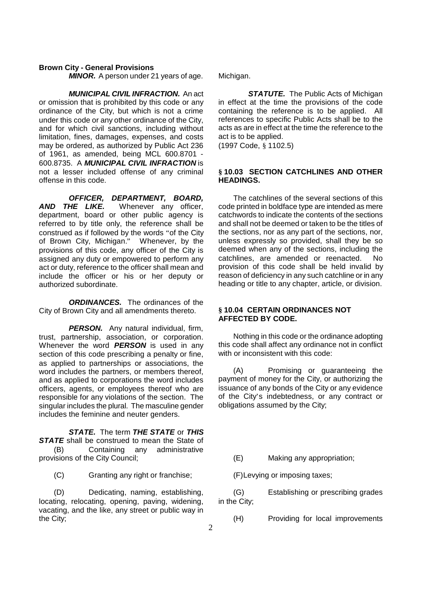*MINOR.* A person under 21 years of age.

*MUNICIPAL CIVIL INFRACTION.* An act or omission that is prohibited by this code or any ordinance of the City, but which is not a crime under this code or any other ordinance of the City, and for which civil sanctions, including without limitation, fines, damages, expenses, and costs may be ordered, as authorized by Public Act 236 of 1961, as amended, being MCL 600.8701 - 600.8735. A *MUNICIPAL CIVIL INFRACTION* is not a lesser included offense of any criminal offense in this code.

*OFFICER, DEPARTMENT, BOARD,<br>AND THE LIKE. Whenever any officer,* Whenever any officer, department, board or other public agency is referred to by title only, the reference shall be construed as if followed by the words "of the City of Brown City, Michigan." Whenever, by the provisions of this code, any officer of the City is assigned any duty or empowered to perform any act or duty, reference to the officer shall mean and include the officer or his or her deputy or authorized subordinate.

**ORDINANCES.** The ordinances of the City of Brown City and all amendments thereto.

**PERSON.** Any natural individual, firm, trust, partnership, association, or corporation. Whenever the word *PERSON* is used in any section of this code prescribing a penalty or fine, as applied to partnerships or associations, the word includes the partners, or members thereof, and as applied to corporations the word includes officers, agents, or employees thereof who are responsible for any violations of the section. The singular includes the plural. The masculine gender includes the feminine and neuter genders.

*STATE.* The term *THE STATE* or *THIS* **STATE** shall be construed to mean the State of (B) Containing any administrative provisions of the City Council;

(C) Granting any right or franchise;

(D) Dedicating, naming, establishing, locating, relocating, opening, paving, widening, vacating, and the like, any street or public way in the City;

Michigan.

**STATUTE.** The Public Acts of Michigan in effect at the time the provisions of the code containing the reference is to be applied. All references to specific Public Acts shall be to the acts as are in effect at the time the reference to the act is to be applied.

(1997 Code, § 1102.5)

## **§ 10.03 SECTION CATCHLINES AND OTHER HEADINGS.**

The catchlines of the several sections of this code printed in boldface type are intended as mere catchwords to indicate the contents of the sections and shall not be deemed or taken to be the titles of the sections, nor as any part of the sections, nor, unless expressly so provided, shall they be so deemed when any of the sections, including the catchlines, are amended or reenacted. No provision of this code shall be held invalid by reason of deficiency in any such catchline or in any heading or title to any chapter, article, or division.

## **§ 10.04 CERTAIN ORDINANCES NOT AFFECTED BY CODE.**

Nothing in this code or the ordinance adopting this code shall affect any ordinance not in conflict with or inconsistent with this code:

(A) Promising or guaranteeing the payment of money for the City, or authorizing the issuance of any bonds of the City or any evidence of the City's indebtedness, or any contract or obligations assumed by the City;

(E) Making any appropriation;

(F)Levying or imposing taxes;

(G) Establishing or prescribing grades in the City;

(H) Providing for local improvements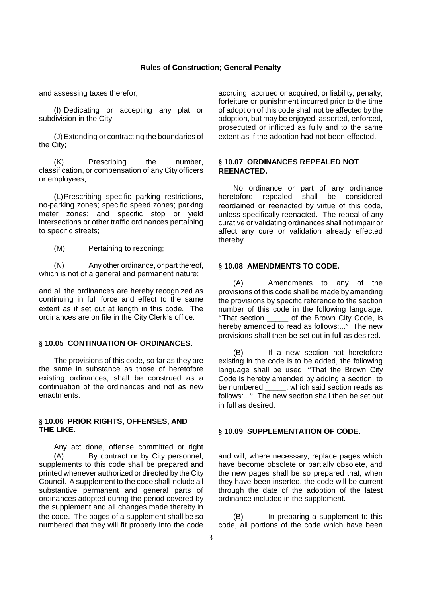and assessing taxes therefor;

(I) Dedicating or accepting any plat or subdivision in the City;

(J)Extending or contracting the boundaries of the City;

(K) Prescribing the number, classification, or compensation of any City officers or employees;

(L)Prescribing specific parking restrictions, no-parking zones; specific speed zones; parking meter zones; and specific stop or yield intersections or other traffic ordinances pertaining to specific streets;

(M) Pertaining to rezoning;

(N) Any other ordinance, or part thereof, which is not of a general and permanent nature;

and all the ordinances are hereby recognized as continuing in full force and effect to the same extent as if set out at length in this code. The ordinances are on file in the City Clerk's office.

## **§ 10.05 CONTINUATION OF ORDINANCES.**

The provisions of this code, so far as they are the same in substance as those of heretofore existing ordinances, shall be construed as a continuation of the ordinances and not as new enactments.

## **§ 10.06 PRIOR RIGHTS, OFFENSES, AND THE LIKE.**

Any act done, offense committed or right (A) By contract or by City personnel, supplements to this code shall be prepared and printed whenever authorized or directed by the City Council. A supplement to the code shall include all substantive permanent and general parts of ordinances adopted during the period covered by the supplement and all changes made thereby in the code. The pages of a supplement shall be so numbered that they will fit properly into the code

accruing, accrued or acquired, or liability, penalty, forfeiture or punishment incurred prior to the time of adoption of this code shall not be affected by the adoption, but may be enjoyed, asserted, enforced, prosecuted or inflicted as fully and to the same extent as if the adoption had not been effected.

# **§ 10.07 ORDINANCES REPEALED NOT REENACTED.**

No ordinance or part of any ordinance heretofore repealed shall be considered reordained or reenacted by virtue of this code, unless specifically reenacted. The repeal of any curative or validating ordinances shall not impair or affect any cure or validation already effected thereby.

#### **§ 10.08 AMENDMENTS TO CODE.**

(A) Amendments to any of the provisions of this code shall be made by amending the provisions by specific reference to the section number of this code in the following language: "That section \_\_\_\_\_ of the Brown City Code, is hereby amended to read as follows:..." The new provisions shall then be set out in full as desired.

(B) If a new section not heretofore existing in the code is to be added, the following language shall be used: "That the Brown City Code is hereby amended by adding a section, to be numbered \_\_\_\_\_, which said section reads as follows:..." The new section shall then be set out in full as desired.

## **§ 10.09 SUPPLEMENTATION OF CODE.**

and will, where necessary, replace pages which have become obsolete or partially obsolete, and the new pages shall be so prepared that, when they have been inserted, the code will be current through the date of the adoption of the latest ordinance included in the supplement.

(B) In preparing a supplement to this code, all portions of the code which have been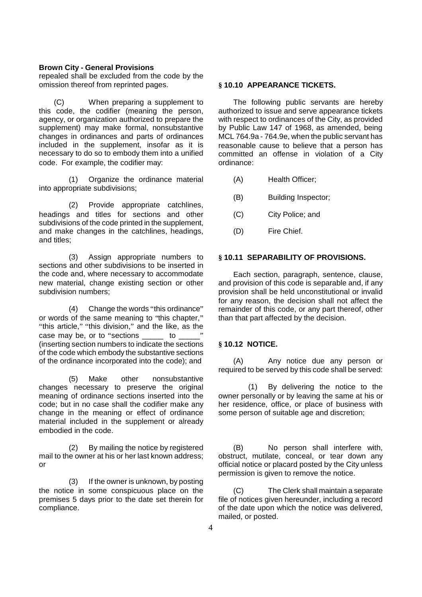repealed shall be excluded from the code by the omission thereof from reprinted pages.

(C) When preparing a supplement to this code, the codifier (meaning the person, agency, or organization authorized to prepare the supplement) may make formal, nonsubstantive changes in ordinances and parts of ordinances included in the supplement, insofar as it is necessary to do so to embody them into a unified code. For example, the codifier may:

(1) Organize the ordinance material into appropriate subdivisions;

(2) Provide appropriate catchlines, headings and titles for sections and other subdivisions of the code printed in the supplement, and make changes in the catchlines, headings, and titles;

(3) Assign appropriate numbers to sections and other subdivisions to be inserted in the code and, where necessary to accommodate new material, change existing section or other subdivision numbers;

(4) Change the words "this ordinance" or words of the same meaning to "this chapter," "this article," "this division," and the like, as the case may be, or to "sections both to (inserting section numbers to indicate the sections of the code which embody the substantive sections of the ordinance incorporated into the code); and

(5) Make other nonsubstantive changes necessary to preserve the original meaning of ordinance sections inserted into the code; but in no case shall the codifier make any change in the meaning or effect of ordinance material included in the supplement or already embodied in the code.

(2) By mailing the notice by registered mail to the owner at his or her last known address; or

(3) If the owner is unknown, by posting the notice in some conspicuous place on the premises 5 days prior to the date set therein for compliance.

#### **§ 10.10 APPEARANCE TICKETS.**

The following public servants are hereby authorized to issue and serve appearance tickets with respect to ordinances of the City, as provided by Public Law 147 of 1968, as amended, being MCL 764.9a - 764.9e, when the public servant has reasonable cause to believe that a person has committed an offense in violation of a City ordinance:

- (A) Health Officer;
- (B) Building Inspector;
- (C) City Police; and
- (D) Fire Chief.

## **§ 10.11 SEPARABILITY OF PROVISIONS.**

Each section, paragraph, sentence, clause, and provision of this code is separable and, if any provision shall be held unconstitutional or invalid for any reason, the decision shall not affect the remainder of this code, or any part thereof, other than that part affected by the decision.

### **§ 10.12 NOTICE.**

(A) Any notice due any person or required to be served by this code shall be served:

(1) By delivering the notice to the owner personally or by leaving the same at his or her residence, office, or place of business with some person of suitable age and discretion;

(B) No person shall interfere with, obstruct, mutilate, conceal, or tear down any official notice or placard posted by the City unless permission is given to remove the notice.

The Clerk shall maintain a separate file of notices given hereunder, including a record of the date upon which the notice was delivered, mailed, or posted.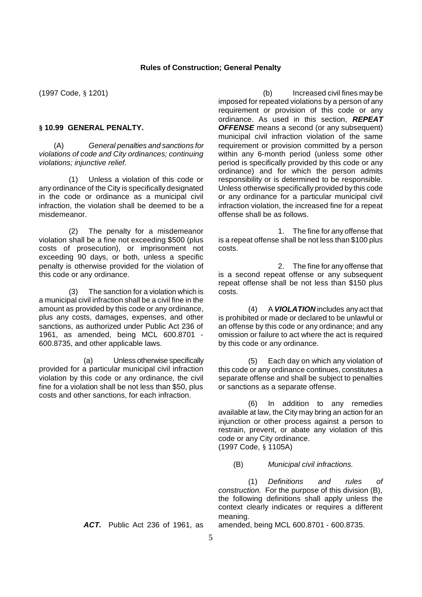### **Rules of Construction; General Penalty**

(1997 Code, § 1201)

## **§ 10.99 GENERAL PENALTY.**

(A) *General penalties and sanctions for violations of code and City ordinances; continuing violations; injunctive relief.*

(1) Unless a violation of this code or any ordinance of the City is specifically designated in the code or ordinance as a municipal civil infraction, the violation shall be deemed to be a misdemeanor.

(2) The penalty for a misdemeanor violation shall be a fine not exceeding \$500 (plus costs of prosecution), or imprisonment not exceeding 90 days, or both, unless a specific penalty is otherwise provided for the violation of this code or any ordinance.

(3) The sanction for a violation which is a municipal civil infraction shall be a civil fine in the amount as provided by this code or any ordinance, plus any costs, damages, expenses, and other sanctions, as authorized under Public Act 236 of 1961, as amended, being MCL 600.8701 - 600.8735, and other applicable laws.

(a) Unless otherwise specifically provided for a particular municipal civil infraction violation by this code or any ordinance, the civil fine for a violation shall be not less than \$50, plus costs and other sanctions, for each infraction.

(b) Increased civil fines may be imposed for repeated violations by a person of any requirement or provision of this code or any ordinance. As used in this section, *REPEAT OFFENSE* means a second (or any subsequent) municipal civil infraction violation of the same requirement or provision committed by a person within any 6-month period (unless some other period is specifically provided by this code or any ordinance) and for which the person admits responsibility or is determined to be responsible. Unless otherwise specifically provided by this code or any ordinance for a particular municipal civil infraction violation, the increased fine for a repeat offense shall be as follows.

1. The fine for any offense that is a repeat offense shall be not less than \$100 plus costs.

2. The fine for any offense that is a second repeat offense or any subsequent repeat offense shall be not less than \$150 plus costs.

(4) A *VIOLATION* includes any act that is prohibited or made or declared to be unlawful or an offense by this code or any ordinance; and any omission or failure to act where the act is required by this code or any ordinance.

(5) Each day on which any violation of this code or any ordinance continues, constitutes a separate offense and shall be subject to penalties or sanctions as a separate offense.

(6) In addition to any remedies available at law, the City may bring an action for an injunction or other process against a person to restrain, prevent, or abate any violation of this code or any City ordinance. (1997 Code, § 1105A)

(B) *Municipal civil infractions.*

(1) *Definitions and rules of construction.* For the purpose of this division (B), the following definitions shall apply unless the context clearly indicates or requires a different meaning.

*ACT.* Public Act 236 of 1961, as amended, being MCL 600.8701 - 600.8735.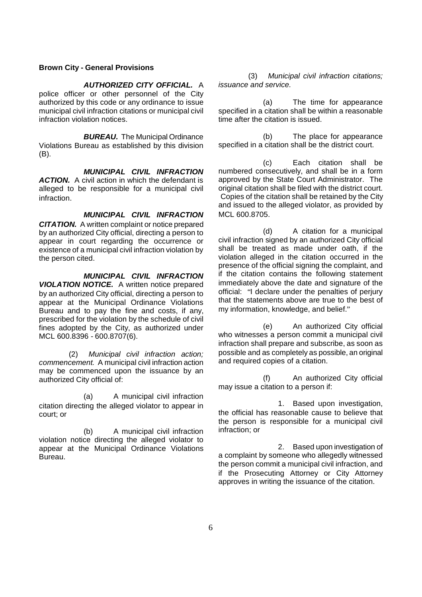# *AUTHORIZED CITY OFFICIAL.* A

police officer or other personnel of the City authorized by this code or any ordinance to issue municipal civil infraction citations or municipal civil infraction violation notices.

*BUREAU.* The Municipal Ordinance Violations Bureau as established by this division (B).

*MUNICIPAL CIVIL INFRACTION* **ACTION.** A civil action in which the defendant is alleged to be responsible for a municipal civil infraction.

*MUNICIPAL CIVIL INFRACTION CITATION.* A written complaint or notice prepared by an authorized City official, directing a person to appear in court regarding the occurrence or existence of a municipal civil infraction violation by the person cited.

*MUNICIPAL CIVIL INFRACTION VIOLATION NOTICE.* A written notice prepared by an authorized City official, directing a person to appear at the Municipal Ordinance Violations Bureau and to pay the fine and costs, if any, prescribed for the violation by the schedule of civil fines adopted by the City, as authorized under MCL 600.8396 - 600.8707(6).

(2) *Municipal civil infraction action; commencement.* A municipal civil infraction action may be commenced upon the issuance by an authorized City official of:

(a) A municipal civil infraction citation directing the alleged violator to appear in court; or

(b) A municipal civil infraction violation notice directing the alleged violator to appear at the Municipal Ordinance Violations Bureau.

(3) *Municipal civil infraction citations; issuance and service.*

(a) The time for appearance specified in a citation shall be within a reasonable time after the citation is issued.

(b) The place for appearance specified in a citation shall be the district court.

(c) Each citation shall be numbered consecutively, and shall be in a form approved by the State Court Administrator. The original citation shall be filed with the district court. Copies of the citation shall be retained by the City and issued to the alleged violator, as provided by MCL 600.8705.

(d) A citation for a municipal civil infraction signed by an authorized City official shall be treated as made under oath, if the violation alleged in the citation occurred in the presence of the official signing the complaint, and if the citation contains the following statement immediately above the date and signature of the official: "I declare under the penalties of perjury that the statements above are true to the best of my information, knowledge, and belief."

(e) An authorized City official who witnesses a person commit a municipal civil infraction shall prepare and subscribe, as soon as possible and as completely as possible, an original and required copies of a citation.

(f) An authorized City official may issue a citation to a person if:

1. Based upon investigation, the official has reasonable cause to believe that the person is responsible for a municipal civil infraction; or

2. Based upon investigation of a complaint by someone who allegedly witnessed the person commit a municipal civil infraction, and if the Prosecuting Attorney or City Attorney approves in writing the issuance of the citation.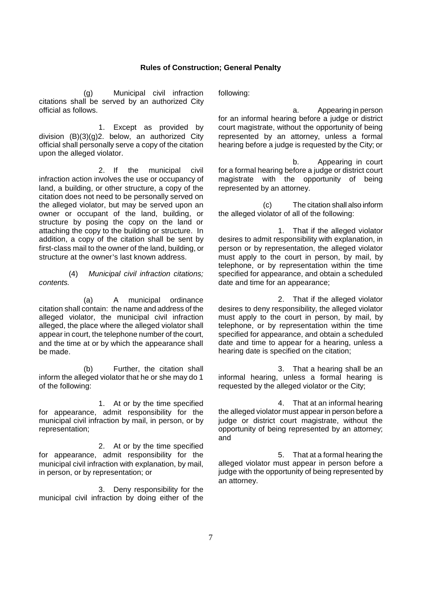#### **Rules of Construction; General Penalty**

(g) Municipal civil infraction citations shall be served by an authorized City official as follows.

1. Except as provided by division (B)(3)(g)2. below, an authorized City official shall personally serve a copy of the citation upon the alleged violator.

2. If the municipal civil infraction action involves the use or occupancy of land, a building, or other structure, a copy of the citation does not need to be personally served on the alleged violator, but may be served upon an owner or occupant of the land, building, or structure by posing the copy on the land or attaching the copy to the building or structure. In addition, a copy of the citation shall be sent by first-class mail to the owner of the land, building, or structure at the owner's last known address.

(4) *Municipal civil infraction citations; contents.*

(a) A municipal ordinance citation shall contain: the name and address of the alleged violator, the municipal civil infraction alleged, the place where the alleged violator shall appear in court, the telephone number of the court, and the time at or by which the appearance shall be made.

(b) Further, the citation shall inform the alleged violator that he or she may do 1 of the following:

1. At or by the time specified for appearance, admit responsibility for the municipal civil infraction by mail, in person, or by representation;

2. At or by the time specified for appearance, admit responsibility for the municipal civil infraction with explanation, by mail, in person, or by representation; or

3. Deny responsibility for the municipal civil infraction by doing either of the following:

a. Appearing in person for an informal hearing before a judge or district court magistrate, without the opportunity of being represented by an attorney, unless a formal hearing before a judge is requested by the City; or

b. Appearing in court for a formal hearing before a judge or district court magistrate with the opportunity of being represented by an attorney.

(c) The citation shall also inform the alleged violator of all of the following:

1. That if the alleged violator desires to admit responsibility with explanation, in person or by representation, the alleged violator must apply to the court in person, by mail, by telephone, or by representation within the time specified for appearance, and obtain a scheduled date and time for an appearance;

2. That if the alleged violator desires to deny responsibility, the alleged violator must apply to the court in person, by mail, by telephone, or by representation within the time specified for appearance, and obtain a scheduled date and time to appear for a hearing, unless a hearing date is specified on the citation;

3. That a hearing shall be an informal hearing, unless a formal hearing is requested by the alleged violator or the City;

4. That at an informal hearing the alleged violator must appear in person before a judge or district court magistrate, without the opportunity of being represented by an attorney; and

5. That at a formal hearing the alleged violator must appear in person before a judge with the opportunity of being represented by an attorney.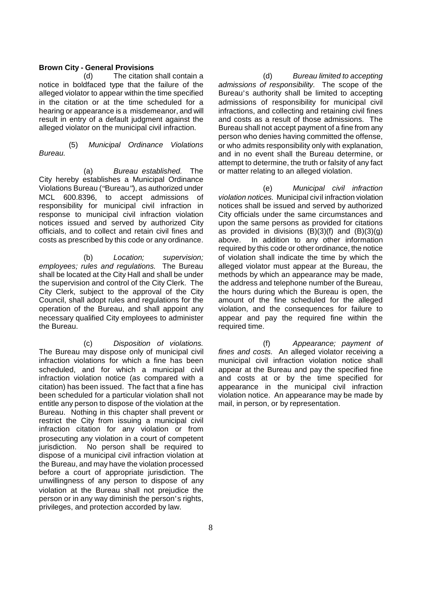(d) The citation shall contain a notice in boldfaced type that the failure of the alleged violator to appear within the time specified in the citation or at the time scheduled for a hearing or appearance is a misdemeanor, and will result in entry of a default judgment against the alleged violator on the municipal civil infraction.

(5) *Municipal Ordinance Violations Bureau.*

(a) *Bureau established.* The City hereby establishes a Municipal Ordinance Violations Bureau ("Bureau"), as authorized under MCL 600.8396, to accept admissions of responsibility for municipal civil infraction in response to municipal civil infraction violation notices issued and served by authorized City officials, and to collect and retain civil fines and costs as prescribed by this code or any ordinance.

(b) *Location; supervision; employees; rules and regulations.* The Bureau shall be located at the City Hall and shall be under the supervision and control of the City Clerk. The City Clerk, subject to the approval of the City Council, shall adopt rules and regulations for the operation of the Bureau, and shall appoint any necessary qualified City employees to administer the Bureau.

(c) *Disposition of violations.* The Bureau may dispose only of municipal civil infraction violations for which a fine has been scheduled, and for which a municipal civil infraction violation notice (as compared with a citation) has been issued. The fact that a fine has been scheduled for a particular violation shall not entitle any person to dispose of the violation at the Bureau. Nothing in this chapter shall prevent or restrict the City from issuing a municipal civil infraction citation for any violation or from prosecuting any violation in a court of competent jurisdiction. No person shall be required to dispose of a municipal civil infraction violation at the Bureau, and may have the violation processed before a court of appropriate jurisdiction. The unwillingness of any person to dispose of any violation at the Bureau shall not prejudice the person or in any way diminish the person's rights, privileges, and protection accorded by law.

(d) *Bureau limited to accepting admissions of responsibility.* The scope of the Bureau's authority shall be limited to accepting admissions of responsibility for municipal civil infractions, and collecting and retaining civil fines and costs as a result of those admissions. The Bureau shall not accept payment of a fine from any person who denies having committed the offense, or who admits responsibility only with explanation, and in no event shall the Bureau determine, or attempt to determine, the truth or falsity of any fact or matter relating to an alleged violation.

(e) *Municipal civil infraction violation notices.* Municipal civil infraction violation notices shall be issued and served by authorized City officials under the same circumstances and upon the same persons as provided for citations as provided in divisions  $(B)(3)(f)$  and  $(B)(3)(g)$ above. In addition to any other information required by this code or other ordinance, the notice of violation shall indicate the time by which the alleged violator must appear at the Bureau, the methods by which an appearance may be made, the address and telephone number of the Bureau, the hours during which the Bureau is open, the amount of the fine scheduled for the alleged violation, and the consequences for failure to appear and pay the required fine within the required time.

(f) *Appearance; payment of fines and costs.* An alleged violator receiving a municipal civil infraction violation notice shall appear at the Bureau and pay the specified fine and costs at or by the time specified for appearance in the municipal civil infraction violation notice. An appearance may be made by mail, in person, or by representation.